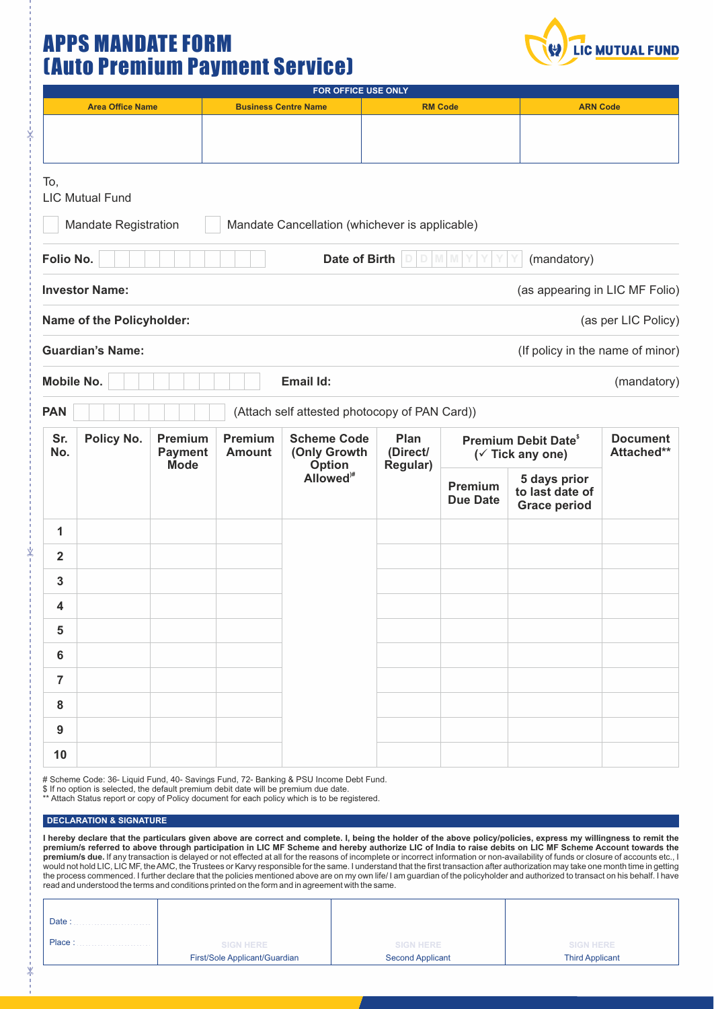## APPS MANDATE FORM (Auto Premium Payment Service)



| FOR OFFICE USE ONLY     |                           |                                          |                             |                                                                             |                                     |                                                |                                                        |                               |  |
|-------------------------|---------------------------|------------------------------------------|-----------------------------|-----------------------------------------------------------------------------|-------------------------------------|------------------------------------------------|--------------------------------------------------------|-------------------------------|--|
| <b>Area Office Name</b> |                           |                                          | <b>Business Centre Name</b> |                                                                             | <b>RM Code</b>                      |                                                |                                                        | <b>ARN Code</b>               |  |
|                         |                           |                                          |                             |                                                                             |                                     |                                                |                                                        |                               |  |
| To,                     | <b>LIC Mutual Fund</b>    |                                          |                             |                                                                             |                                     |                                                |                                                        |                               |  |
| Folio No.               | Mandate Registration      |                                          |                             | Mandate Cancellation (whichever is applicable)<br>Date of Birth             | D                                   | M                                              | (mandatory)                                            |                               |  |
|                         | <b>Investor Name:</b>     |                                          |                             |                                                                             |                                     |                                                | (as appearing in LIC MF Folio)                         |                               |  |
|                         | Name of the Policyholder: |                                          |                             |                                                                             |                                     |                                                |                                                        | (as per LIC Policy)           |  |
|                         | <b>Guardian's Name:</b>   |                                          |                             |                                                                             |                                     |                                                | (If policy in the name of minor)                       |                               |  |
| Mobile No.              |                           |                                          |                             | Email Id:                                                                   |                                     |                                                |                                                        | (mandatory)                   |  |
| <b>PAN</b>              |                           |                                          |                             | (Attach self attested photocopy of PAN Card))                               |                                     |                                                |                                                        |                               |  |
| Sr.<br>No.              | Policy No.                | Premium<br><b>Payment</b><br><b>Mode</b> | Premium<br><b>Amount</b>    | <b>Scheme Code</b><br>(Only Growth<br><b>Option</b><br>Allowed <sup>#</sup> | Plan<br>(Direct/<br><b>Regular)</b> | <b>Premium Debit Date®</b><br>(✓ Tick any one) |                                                        | <b>Document</b><br>Attached** |  |
|                         |                           |                                          |                             |                                                                             |                                     | Premium<br><b>Due Date</b>                     | 5 days prior<br>to last date of<br><b>Grace period</b> |                               |  |
| $\mathbf{1}$            |                           |                                          |                             |                                                                             |                                     |                                                |                                                        |                               |  |
| $\overline{2}$          |                           |                                          |                             |                                                                             |                                     |                                                |                                                        |                               |  |
| $\mathbf{3}$            |                           |                                          |                             |                                                                             |                                     |                                                |                                                        |                               |  |
| 4                       |                           |                                          |                             |                                                                             |                                     |                                                |                                                        |                               |  |
| $5\phantom{.0}$         |                           |                                          |                             |                                                                             |                                     |                                                |                                                        |                               |  |
| $6\phantom{a}$          |                           |                                          |                             |                                                                             |                                     |                                                |                                                        |                               |  |
| $\overline{7}$          |                           |                                          |                             |                                                                             |                                     |                                                |                                                        |                               |  |
| ${\bf 8}$               |                           |                                          |                             |                                                                             |                                     |                                                |                                                        |                               |  |
| $\boldsymbol{9}$        |                           |                                          |                             |                                                                             |                                     |                                                |                                                        |                               |  |
| 10                      |                           |                                          |                             |                                                                             |                                     |                                                |                                                        |                               |  |

# Scheme Code: 36- Liquid Fund, 40- Savings Fund, 72- Banking & PSU Income Debt Fund.

\$ If no option is selected, the default premium debit date will be premium due date. \*\* Attach Status report or copy of Policy document for each policy which is to be registered.

## **DECLARATION & SIGNATURE**

I hereby declare that the particulars given above are correct and complete. I, being the holder of the above policy/policies, express my willingness to remit the<br>premium/s referred to above through participation in LIC MF **premium/s due.** If any transaction is delayed or not effected at all for the reasons of incomplete or incorrect information or non-availability of funds or closure of accounts etc., I<br>would not hold LIC, LIC MF, the AMC, read and understood the terms and conditions printed on the form and in agreement with the same.

| Date:  |                                                   |                                             |                                            |
|--------|---------------------------------------------------|---------------------------------------------|--------------------------------------------|
| Place: | <b>SIGN HERE</b><br>First/Sole Applicant/Guardian | <b>SIGN HERE</b><br><b>Second Applicant</b> | <b>SIGN HERE</b><br><b>Third Applicant</b> |
|        |                                                   |                                             |                                            |